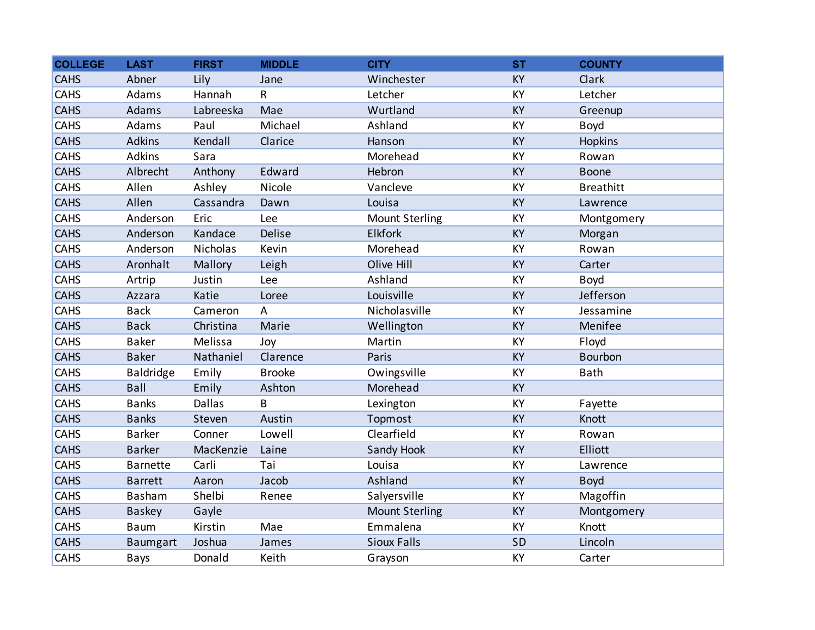| <b>COLLEGE</b> | <b>LAST</b>     | <b>FIRST</b>  | <b>MIDDLE</b> | <b>CITY</b>           | <b>ST</b> | <b>COUNTY</b>    |
|----------------|-----------------|---------------|---------------|-----------------------|-----------|------------------|
| <b>CAHS</b>    | Abner           | Lily          | Jane          | Winchester            | <b>KY</b> | Clark            |
| <b>CAHS</b>    | Adams           | Hannah        | $\sf R$       | Letcher               | KY        | Letcher          |
| <b>CAHS</b>    | Adams           | Labreeska     | Mae           | Wurtland              | KY        | Greenup          |
| <b>CAHS</b>    | Adams           | Paul          | Michael       | Ashland               | KY        | Boyd             |
| <b>CAHS</b>    | Adkins          | Kendall       | Clarice       | Hanson                | <b>KY</b> | Hopkins          |
| <b>CAHS</b>    | Adkins          | Sara          |               | Morehead              | KY        | Rowan            |
| <b>CAHS</b>    | Albrecht        | Anthony       | Edward        | Hebron                | KY        | <b>Boone</b>     |
| <b>CAHS</b>    | Allen           | Ashley        | Nicole        | Vancleve              | KY        | <b>Breathitt</b> |
| <b>CAHS</b>    | Allen           | Cassandra     | Dawn          | Louisa                | KY        | Lawrence         |
| CAHS           | Anderson        | Eric          | Lee           | <b>Mount Sterling</b> | KY        | Montgomery       |
| <b>CAHS</b>    | Anderson        | Kandace       | Delise        | <b>Elkfork</b>        | KY        | Morgan           |
| <b>CAHS</b>    | Anderson        | Nicholas      | Kevin         | Morehead              | KY        | Rowan            |
| <b>CAHS</b>    | Aronhalt        | Mallory       | Leigh         | Olive Hill            | KY        | Carter           |
| <b>CAHS</b>    | Artrip          | Justin        | Lee           | Ashland               | <b>KY</b> | Boyd             |
| <b>CAHS</b>    | Azzara          | Katie         | Loree         | Louisville            | KY        | Jefferson        |
| <b>CAHS</b>    | <b>Back</b>     | Cameron       | A             | Nicholasville         | KY        | Jessamine        |
| <b>CAHS</b>    | <b>Back</b>     | Christina     | Marie         | Wellington            | KY        | Menifee          |
| <b>CAHS</b>    | <b>Baker</b>    | Melissa       | Joy           | Martin                | KY        | Floyd            |
| <b>CAHS</b>    | <b>Baker</b>    | Nathaniel     | Clarence      | Paris                 | KY        | Bourbon          |
| <b>CAHS</b>    | Baldridge       | Emily         | <b>Brooke</b> | Owingsville           | KY        | <b>Bath</b>      |
| <b>CAHS</b>    | Ball            | Emily         | Ashton        | Morehead              | <b>KY</b> |                  |
| <b>CAHS</b>    | <b>Banks</b>    | <b>Dallas</b> | B             | Lexington             | KY        | Fayette          |
| <b>CAHS</b>    | <b>Banks</b>    | Steven        | Austin        | Topmost               | KY        | Knott            |
| CAHS           | <b>Barker</b>   | Conner        | Lowell        | Clearfield            | KY        | Rowan            |
| <b>CAHS</b>    | <b>Barker</b>   | MacKenzie     | Laine         | Sandy Hook            | KY        | <b>Elliott</b>   |
| <b>CAHS</b>    | <b>Barnette</b> | Carli         | Tai           | Louisa                | KY        | Lawrence         |
| <b>CAHS</b>    | <b>Barrett</b>  | Aaron         | Jacob         | Ashland               | <b>KY</b> | <b>Boyd</b>      |
| CAHS           | Basham          | Shelbi        | Renee         | Salyersville          | KY        | Magoffin         |
| <b>CAHS</b>    | <b>Baskey</b>   | Gayle         |               | <b>Mount Sterling</b> | KY        | Montgomery       |
| CAHS           | <b>Baum</b>     | Kirstin       | Mae           | Emmalena              | KY        | Knott            |
| <b>CAHS</b>    | <b>Baumgart</b> | Joshua        | James         | <b>Sioux Falls</b>    | <b>SD</b> | Lincoln          |
| CAHS           | Bays            | Donald        | Keith         | Grayson               | KY        | Carter           |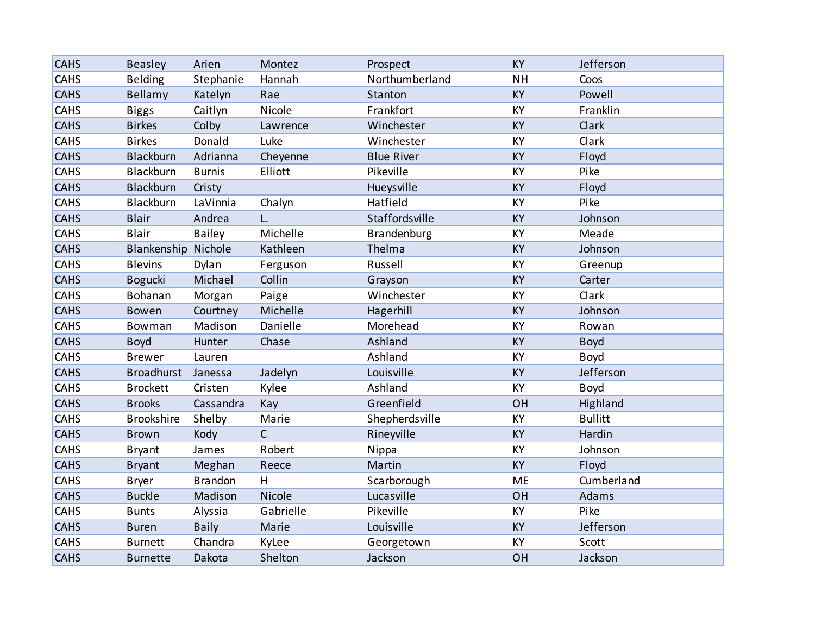| <b>CAHS</b> | <b>Beasley</b>      | Arien          | Montez       | Prospect          | <b>KY</b> | Jefferson      |
|-------------|---------------------|----------------|--------------|-------------------|-----------|----------------|
| <b>CAHS</b> | <b>Belding</b>      | Stephanie      | Hannah       | Northumberland    | <b>NH</b> | Coos           |
| <b>CAHS</b> | <b>Bellamy</b>      | Katelyn        | Rae          | Stanton           | <b>KY</b> | Powell         |
| <b>CAHS</b> | <b>Biggs</b>        | Caitlyn        | Nicole       | Frankfort         | KY        | Franklin       |
| <b>CAHS</b> | <b>Birkes</b>       | Colby          | Lawrence     | Winchester        | <b>KY</b> | Clark          |
| <b>CAHS</b> | <b>Birkes</b>       | Donald         | Luke         | Winchester        | KY        | Clark          |
| <b>CAHS</b> | Blackburn           | Adrianna       | Cheyenne     | <b>Blue River</b> | <b>KY</b> | Floyd          |
| <b>CAHS</b> | Blackburn           | <b>Burnis</b>  | Elliott      | Pikeville         | KY        | Pike           |
| <b>CAHS</b> | Blackburn           | Cristy         |              | Hueysville        | <b>KY</b> | Floyd          |
| <b>CAHS</b> | Blackburn           | LaVinnia       | Chalyn       | Hatfield          | KY        | Pike           |
| <b>CAHS</b> | <b>Blair</b>        | Andrea         | L.           | Staffordsville    | KY        | Johnson        |
| <b>CAHS</b> | <b>Blair</b>        | <b>Bailey</b>  | Michelle     | Brandenburg       | KY        | Meade          |
| <b>CAHS</b> | Blankenship Nichole |                | Kathleen     | Thelma            | KY        | Johnson        |
| CAHS        | <b>Blevins</b>      | Dylan          | Ferguson     | Russell           | KY        | Greenup        |
| <b>CAHS</b> | <b>Bogucki</b>      | Michael        | Collin       | Grayson           | <b>KY</b> | Carter         |
| CAHS        | Bohanan             | Morgan         | Paige        | Winchester        | KY        | Clark          |
| <b>CAHS</b> | Bowen               | Courtney       | Michelle     | Hagerhill         | KY        | Johnson        |
| CAHS        | Bowman              | Madison        | Danielle     | Morehead          | KY        | Rowan          |
| <b>CAHS</b> | <b>Boyd</b>         | Hunter         | Chase        | Ashland           | KY        | <b>Boyd</b>    |
| CAHS        | <b>Brewer</b>       | Lauren         |              | Ashland           | KY        | Boyd           |
| <b>CAHS</b> | Broadhurst          | Janessa        | Jadelyn      | Louisville        | KY        | Jefferson      |
| CAHS        | <b>Brockett</b>     | Cristen        | Kylee        | Ashland           | KY        | <b>Boyd</b>    |
| <b>CAHS</b> | <b>Brooks</b>       | Cassandra      | Kay          | Greenfield        | OH        | Highland       |
| CAHS        | <b>Brookshire</b>   | Shelby         | Marie        | Shepherdsville    | KY        | <b>Bullitt</b> |
| <b>CAHS</b> | <b>Brown</b>        | Kody           | $\mathsf{C}$ | Rineyville        | KY        | Hardin         |
| CAHS        | <b>Bryant</b>       | James          | Robert       | Nippa             | KY        | Johnson        |
| <b>CAHS</b> | <b>Bryant</b>       | Meghan         | Reece        | Martin            | <b>KY</b> | Floyd          |
| CAHS        | <b>Bryer</b>        | <b>Brandon</b> | H            | Scarborough       | <b>ME</b> | Cumberland     |
| <b>CAHS</b> | <b>Buckle</b>       | Madison        | Nicole       | Lucasville        | OH        | Adams          |
| CAHS        | <b>Bunts</b>        | Alyssia        | Gabrielle    | Pikeville         | KY        | Pike           |
| <b>CAHS</b> | <b>Buren</b>        | <b>Baily</b>   | Marie        | Louisville        | <b>KY</b> | Jefferson      |
| CAHS        | <b>Burnett</b>      | Chandra        | KyLee        | Georgetown        | KY        | Scott          |
| <b>CAHS</b> | <b>Burnette</b>     | Dakota         | Shelton      | Jackson           | OH        | Jackson        |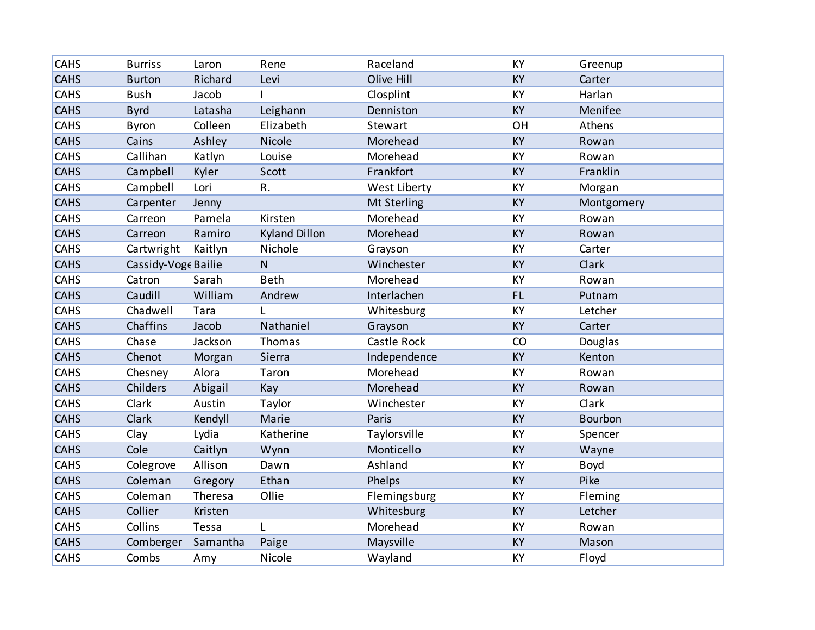| CAHS        | <b>Burriss</b>      | Laron    | Rene                 | Raceland     | <b>KY</b> | Greenup    |
|-------------|---------------------|----------|----------------------|--------------|-----------|------------|
| <b>CAHS</b> | <b>Burton</b>       | Richard  | Levi                 | Olive Hill   | KY        | Carter     |
| CAHS        | <b>Bush</b>         | Jacob    |                      | Closplint    | KY        | Harlan     |
| <b>CAHS</b> | <b>Byrd</b>         | Latasha  | Leighann             | Denniston    | KY        | Menifee    |
| CAHS        | <b>Byron</b>        | Colleen  | Elizabeth            | Stewart      | OH        | Athens     |
| <b>CAHS</b> | Cains               | Ashley   | Nicole               | Morehead     | KY        | Rowan      |
| CAHS        | Callihan            | Katlyn   | Louise               | Morehead     | <b>KY</b> | Rowan      |
| <b>CAHS</b> | Campbell            | Kyler    | Scott                | Frankfort    | KY        | Franklin   |
| CAHS        | Campbell            | Lori     | R.                   | West Liberty | KY        | Morgan     |
| <b>CAHS</b> | Carpenter           | Jenny    |                      | Mt Sterling  | KY        | Montgomery |
| CAHS        | Carreon             | Pamela   | Kirsten              | Morehead     | KY        | Rowan      |
| <b>CAHS</b> | Carreon             | Ramiro   | <b>Kyland Dillon</b> | Morehead     | KY        | Rowan      |
| CAHS        | Cartwright          | Kaitlyn  | Nichole              | Grayson      | KY        | Carter     |
| <b>CAHS</b> | Cassidy-Voge Bailie |          | $\mathsf{N}$         | Winchester   | KY        | Clark      |
| <b>CAHS</b> | Catron              | Sarah    | <b>Beth</b>          | Morehead     | KY        | Rowan      |
| <b>CAHS</b> | Caudill             | William  | Andrew               | Interlachen  | <b>FL</b> | Putnam     |
| <b>CAHS</b> | Chadwell            | Tara     | L                    | Whitesburg   | KY        | Letcher    |
| <b>CAHS</b> | Chaffins            | Jacob    | Nathaniel            | Grayson      | KY        | Carter     |
| <b>CAHS</b> | Chase               | Jackson  | Thomas               | Castle Rock  | CO        | Douglas    |
| <b>CAHS</b> | Chenot              | Morgan   | Sierra               | Independence | <b>KY</b> | Kenton     |
| <b>CAHS</b> | Chesney             | Alora    | Taron                | Morehead     | KY        | Rowan      |
| <b>CAHS</b> | Childers            | Abigail  | Kay                  | Morehead     | KY        | Rowan      |
| <b>CAHS</b> | Clark               | Austin   | Taylor               | Winchester   | KY        | Clark      |
| <b>CAHS</b> | Clark               | Kendyll  | Marie                | Paris        | <b>KY</b> | Bourbon    |
| <b>CAHS</b> | Clay                | Lydia    | Katherine            | Taylorsville | KY        | Spencer    |
| <b>CAHS</b> | Cole                | Caitlyn  | Wynn                 | Monticello   | KY        | Wayne      |
| <b>CAHS</b> | Colegrove           | Allison  | Dawn                 | Ashland      | KY        | Boyd       |
| <b>CAHS</b> | Coleman             | Gregory  | Ethan                | Phelps       | KY        | Pike       |
| <b>CAHS</b> | Coleman             | Theresa  | Ollie                | Flemingsburg | KY        | Fleming    |
| <b>CAHS</b> | Collier             | Kristen  |                      | Whitesburg   | KY        | Letcher    |
| <b>CAHS</b> | Collins             | Tessa    | L                    | Morehead     | KY        | Rowan      |
| <b>CAHS</b> | Comberger           | Samantha | Paige                | Maysville    | KY        | Mason      |
| CAHS        | Combs               | Amy      | Nicole               | Wayland      | KY        | Floyd      |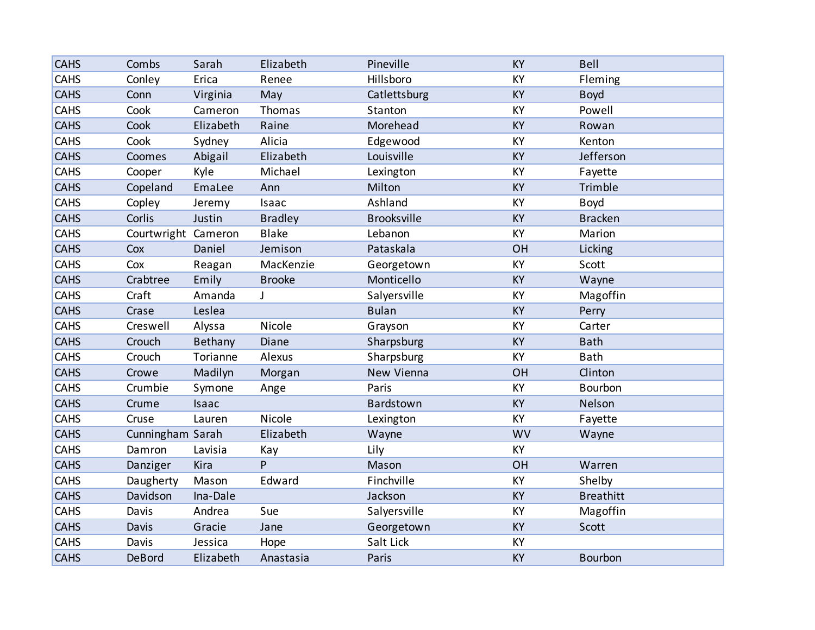| <b>CAHS</b> | Combs               | Sarah     | Elizabeth      | Pineville          | <b>KY</b> | Bell             |
|-------------|---------------------|-----------|----------------|--------------------|-----------|------------------|
| <b>CAHS</b> | Conley              | Erica     | Renee          | Hillsboro          | KY        | Fleming          |
| <b>CAHS</b> | Conn                | Virginia  | May            | Catlettsburg       | KY        | <b>Boyd</b>      |
| <b>CAHS</b> | Cook                | Cameron   | Thomas         | Stanton            | KY        | Powell           |
| <b>CAHS</b> | Cook                | Elizabeth | Raine          | Morehead           | <b>KY</b> | Rowan            |
| CAHS        | Cook                | Sydney    | Alicia         | Edgewood           | KY        | Kenton           |
| <b>CAHS</b> | Coomes              | Abigail   | Elizabeth      | Louisville         | KY        | Jefferson        |
| <b>CAHS</b> | Cooper              | Kyle      | Michael        | Lexington          | KY        | Fayette          |
| <b>CAHS</b> | Copeland            | EmaLee    | Ann            | Milton             | <b>KY</b> | Trimble          |
| CAHS        | Copley              | Jeremy    | Isaac          | Ashland            | KY        | Boyd             |
| <b>CAHS</b> | Corlis              | Justin    | <b>Bradley</b> | <b>Brooksville</b> | KY        | <b>Bracken</b>   |
| <b>CAHS</b> | Courtwright Cameron |           | <b>Blake</b>   | Lebanon            | KY        | Marion           |
| <b>CAHS</b> | Cox                 | Daniel    | Jemison        | Pataskala          | OH        | Licking          |
| CAHS        | Cox                 | Reagan    | MacKenzie      | Georgetown         | <b>KY</b> | Scott            |
| <b>CAHS</b> | Crabtree            | Emily     | <b>Brooke</b>  | Monticello         | KY        | Wayne            |
| <b>CAHS</b> | Craft               | Amanda    | J              | Salyersville       | KY        | Magoffin         |
| <b>CAHS</b> | Crase               | Leslea    |                | <b>Bulan</b>       | KY        | Perry            |
| CAHS        | Creswell            | Alyssa    | Nicole         | Grayson            | KY        | Carter           |
| <b>CAHS</b> | Crouch              | Bethany   | Diane          | Sharpsburg         | KY        | <b>Bath</b>      |
| <b>CAHS</b> | Crouch              | Torianne  | Alexus         | Sharpsburg         | KY        | Bath             |
| <b>CAHS</b> | Crowe               | Madilyn   | Morgan         | New Vienna         | OH        | Clinton          |
| CAHS        | Crumbie             | Symone    | Ange           | Paris              | KY        | Bourbon          |
| <b>CAHS</b> | Crume               | Isaac     |                | Bardstown          | <b>KY</b> | Nelson           |
| <b>CAHS</b> | Cruse               | Lauren    | Nicole         | Lexington          | KY        | Fayette          |
| <b>CAHS</b> | Cunningham Sarah    |           | Elizabeth      | Wayne              | <b>WV</b> | Wayne            |
| CAHS        | Damron              | Lavisia   | Kay            | Lily               | KY        |                  |
| <b>CAHS</b> | Danziger            | Kira      | P              | Mason              | OH        | Warren           |
| <b>CAHS</b> | Daugherty           | Mason     | Edward         | Finchville         | KY        | Shelby           |
| <b>CAHS</b> | Davidson            | Ina-Dale  |                | Jackson            | KY        | <b>Breathitt</b> |
| CAHS        | Davis               | Andrea    | Sue            | Salyersville       | KY        | Magoffin         |
| <b>CAHS</b> | Davis               | Gracie    | Jane           | Georgetown         | <b>KY</b> | Scott            |
| <b>CAHS</b> | Davis               | Jessica   | Hope           | Salt Lick          | KY        |                  |
| <b>CAHS</b> | DeBord              | Elizabeth | Anastasia      | Paris              | KY        | <b>Bourbon</b>   |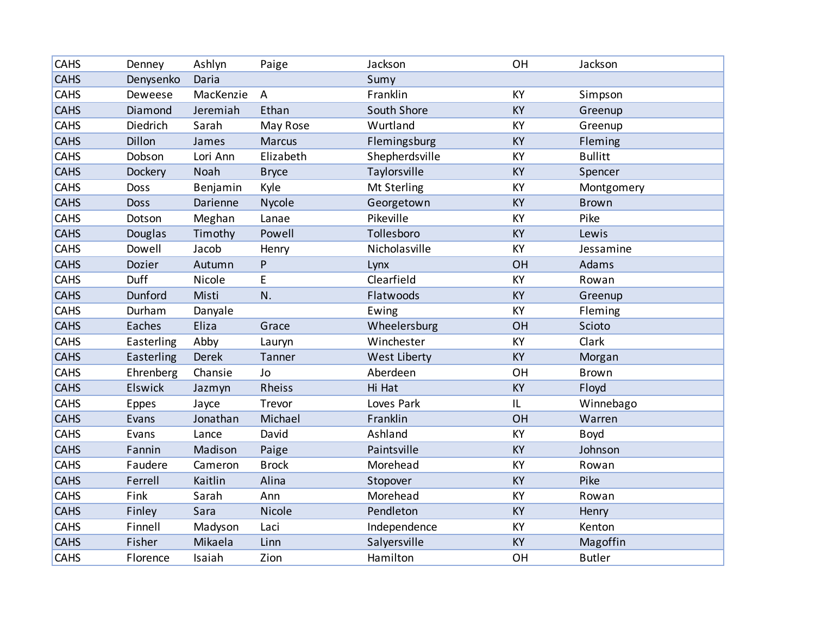| <b>CAHS</b> | Denney      | Ashlyn       | Paige          | Jackson        | OH        | Jackson        |
|-------------|-------------|--------------|----------------|----------------|-----------|----------------|
| <b>CAHS</b> | Denysenko   | Daria        |                | Sumy           |           |                |
| <b>CAHS</b> | Deweese     | MacKenzie    | $\overline{A}$ | Franklin       | KY        | Simpson        |
| <b>CAHS</b> | Diamond     | Jeremiah     | Ethan          | South Shore    | KY        | Greenup        |
| CAHS        | Diedrich    | Sarah        | May Rose       | Wurtland       | KY        | Greenup        |
| <b>CAHS</b> | Dillon      | James        | Marcus         | Flemingsburg   | KY        | Fleming        |
| <b>CAHS</b> | Dobson      | Lori Ann     | Elizabeth      | Shepherdsville | KY        | <b>Bullitt</b> |
| <b>CAHS</b> | Dockery     | Noah         | <b>Bryce</b>   | Taylorsville   | KY        | Spencer        |
| CAHS        | <b>Doss</b> | Benjamin     | Kyle           | Mt Sterling    | KY        | Montgomery     |
| <b>CAHS</b> | <b>Doss</b> | Darienne     | Nycole         | Georgetown     | KY        | <b>Brown</b>   |
| CAHS        | Dotson      | Meghan       | Lanae          | Pikeville      | KY        | Pike           |
| <b>CAHS</b> | Douglas     | Timothy      | Powell         | Tollesboro     | KY        | Lewis          |
| <b>CAHS</b> | Dowell      | Jacob        | Henry          | Nicholasville  | KY        | Jessamine      |
| <b>CAHS</b> | Dozier      | Autumn       | $\mathsf{P}$   | Lynx           | OH        | Adams          |
| <b>CAHS</b> | Duff        | Nicole       | E              | Clearfield     | KY        | Rowan          |
| <b>CAHS</b> | Dunford     | Misti        | N.             | Flatwoods      | <b>KY</b> | Greenup        |
| CAHS        | Durham      | Danyale      |                | Ewing          | KY        | Fleming        |
| <b>CAHS</b> | Eaches      | Eliza        | Grace          | Wheelersburg   | OH        | Scioto         |
| <b>CAHS</b> | Easterling  | Abby         | Lauryn         | Winchester     | KY        | Clark          |
| <b>CAHS</b> | Easterling  | <b>Derek</b> | Tanner         | West Liberty   | KY        | Morgan         |
| <b>CAHS</b> | Ehrenberg   | Chansie      | Jo             | Aberdeen       | OH        | <b>Brown</b>   |
| <b>CAHS</b> | Elswick     | Jazmyn       | Rheiss         | Hi Hat         | KY        | Floyd          |
| <b>CAHS</b> | Eppes       | Jayce        | Trevor         | Loves Park     | IL        | Winnebago      |
| <b>CAHS</b> | Evans       | Jonathan     | Michael        | Franklin       | OH        | Warren         |
| <b>CAHS</b> | Evans       | Lance        | David          | Ashland        | KY        | Boyd           |
| <b>CAHS</b> | Fannin      | Madison      | Paige          | Paintsville    | KY        | Johnson        |
| <b>CAHS</b> | Faudere     | Cameron      | <b>Brock</b>   | Morehead       | KY        | Rowan          |
| <b>CAHS</b> | Ferrell     | Kaitlin      | Alina          | Stopover       | <b>KY</b> | Pike           |
| <b>CAHS</b> | Fink        | Sarah        | Ann            | Morehead       | KY        | Rowan          |
| <b>CAHS</b> | Finley      | Sara         | Nicole         | Pendleton      | KY        | Henry          |
| <b>CAHS</b> | Finnell     | Madyson      | Laci           | Independence   | KY        | Kenton         |
| <b>CAHS</b> | Fisher      | Mikaela      | Linn           | Salyersville   | KY        | Magoffin       |
| CAHS        | Florence    | Isaiah       | Zion           | Hamilton       | OH        | <b>Butler</b>  |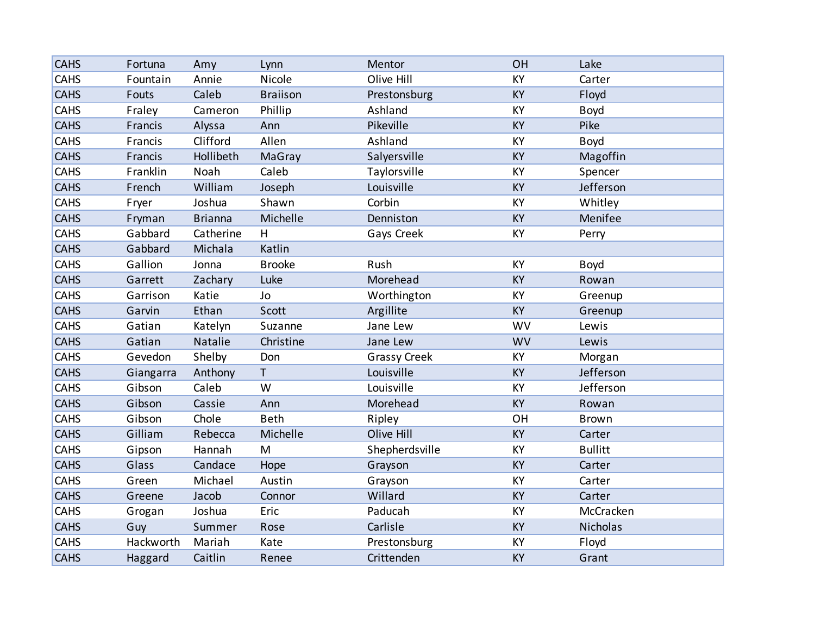| <b>CAHS</b> | Fortuna   | Amy            | Lynn            | Mentor              | OH        | Lake           |
|-------------|-----------|----------------|-----------------|---------------------|-----------|----------------|
| CAHS        | Fountain  | Annie          | Nicole          | Olive Hill          | KY        | Carter         |
| <b>CAHS</b> | Fouts     | Caleb          | <b>Braiison</b> | Prestonsburg        | <b>KY</b> | Floyd          |
| CAHS        | Fraley    | Cameron        | Phillip         | Ashland             | KY        | Boyd           |
| <b>CAHS</b> | Francis   | Alyssa         | Ann             | Pikeville           | KY        | Pike           |
| <b>CAHS</b> | Francis   | Clifford       | Allen           | Ashland             | KY        | Boyd           |
| <b>CAHS</b> | Francis   | Hollibeth      | MaGray          | Salyersville        | KY        | Magoffin       |
| <b>CAHS</b> | Franklin  | Noah           | Caleb           | Taylorsville        | KY        | Spencer        |
| <b>CAHS</b> | French    | William        | Joseph          | Louisville          | KY        | Jefferson      |
| <b>CAHS</b> | Fryer     | Joshua         | Shawn           | Corbin              | KY        | Whitley        |
| <b>CAHS</b> | Fryman    | <b>Brianna</b> | Michelle        | Denniston           | <b>KY</b> | Menifee        |
| CAHS        | Gabbard   | Catherine      | H               | Gays Creek          | KY        | Perry          |
| <b>CAHS</b> | Gabbard   | Michala        | Katlin          |                     |           |                |
| <b>CAHS</b> | Gallion   | Jonna          | <b>Brooke</b>   | Rush                | KY        | Boyd           |
| <b>CAHS</b> | Garrett   | Zachary        | Luke            | Morehead            | KY        | Rowan          |
| CAHS        | Garrison  | Katie          | Jo              | Worthington         | KY        | Greenup        |
| <b>CAHS</b> | Garvin    | Ethan          | Scott           | Argillite           | <b>KY</b> | Greenup        |
| <b>CAHS</b> | Gatian    | Katelyn        | Suzanne         | Jane Lew            | <b>WV</b> | Lewis          |
| <b>CAHS</b> | Gatian    | Natalie        | Christine       | Jane Lew            | <b>WV</b> | Lewis          |
| CAHS        | Gevedon   | Shelby         | Don             | <b>Grassy Creek</b> | KY        | Morgan         |
| <b>CAHS</b> | Giangarra | Anthony        | $\mathsf{T}$    | Louisville          | KY        | Jefferson      |
| CAHS        | Gibson    | Caleb          | W               | Louisville          | KY        | Jefferson      |
| <b>CAHS</b> | Gibson    | Cassie         | Ann             | Morehead            | KY        | Rowan          |
| CAHS        | Gibson    | Chole          | <b>Beth</b>     | Ripley              | OH        | <b>Brown</b>   |
| <b>CAHS</b> | Gilliam   | Rebecca        | Michelle        | Olive Hill          | <b>KY</b> | Carter         |
| <b>CAHS</b> | Gipson    | Hannah         | M               | Shepherdsville      | KY        | <b>Bullitt</b> |
| <b>CAHS</b> | Glass     | Candace        | Hope            | Grayson             | KY        | Carter         |
| CAHS        | Green     | Michael        | Austin          | Grayson             | KY        | Carter         |
| <b>CAHS</b> | Greene    | Jacob          | Connor          | Willard             | <b>KY</b> | Carter         |
| CAHS        | Grogan    | Joshua         | Eric            | Paducah             | KY        | McCracken      |
| <b>CAHS</b> | Guy       | Summer         | Rose            | Carlisle            | <b>KY</b> | Nicholas       |
| <b>CAHS</b> | Hackworth | Mariah         | Kate            | Prestonsburg        | KY        | Floyd          |
| <b>CAHS</b> | Haggard   | Caitlin        | Renee           | Crittenden          | KY        | Grant          |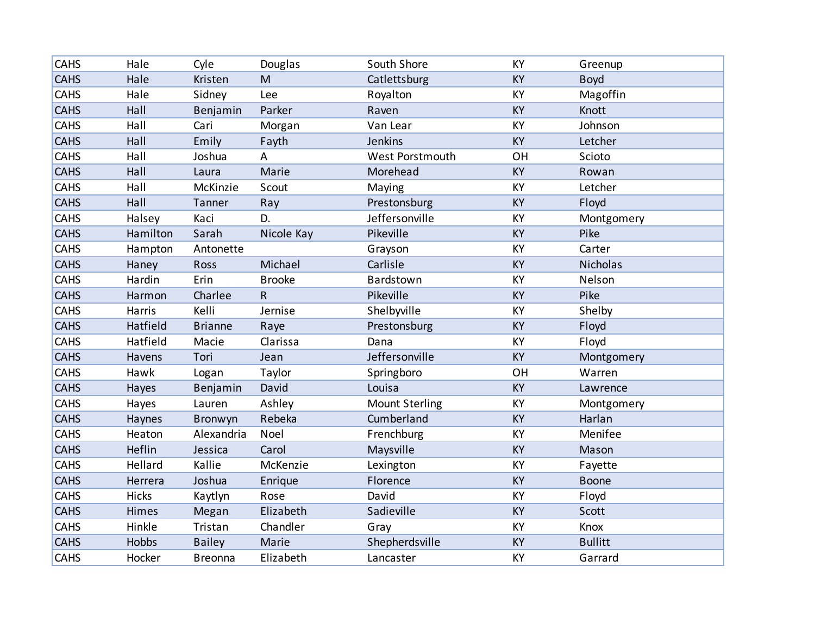| <b>CAHS</b> | Hale     | Cyle           | Douglas                 | South Shore           | KY        | Greenup         |
|-------------|----------|----------------|-------------------------|-----------------------|-----------|-----------------|
| <b>CAHS</b> | Hale     | Kristen        | M                       | Catlettsburg          | <b>KY</b> | <b>Boyd</b>     |
| <b>CAHS</b> | Hale     | Sidney         | Lee                     | Royalton              | KY        | Magoffin        |
| <b>CAHS</b> | Hall     | Benjamin       | Parker                  | Raven                 | KY        | Knott           |
| <b>CAHS</b> | Hall     | Cari           | Morgan                  | Van Lear              | KY        | Johnson         |
| <b>CAHS</b> | Hall     | Emily          | Fayth                   | Jenkins               | KY        | Letcher         |
| <b>CAHS</b> | Hall     | Joshua         | Α                       | West Porstmouth       | OH        | Scioto          |
| <b>CAHS</b> | Hall     | Laura          | Marie                   | Morehead              | KY        | Rowan           |
| CAHS        | Hall     | McKinzie       | Scout                   | Maying                | KY        | Letcher         |
| <b>CAHS</b> | Hall     | Tanner         | Ray                     | Prestonsburg          | KY        | Floyd           |
| CAHS        | Halsey   | Kaci           | D.                      | Jeffersonville        | KY        | Montgomery      |
| <b>CAHS</b> | Hamilton | Sarah          | Nicole Kay              | Pikeville             | KY        | Pike            |
| CAHS        | Hampton  | Antonette      |                         | Grayson               | KY        | Carter          |
| <b>CAHS</b> | Haney    | Ross           | Michael                 | Carlisle              | <b>KY</b> | <b>Nicholas</b> |
| <b>CAHS</b> | Hardin   | Erin           | <b>Brooke</b>           | Bardstown             | KY        | Nelson          |
| <b>CAHS</b> | Harmon   | Charlee        | $\overline{\mathsf{R}}$ | Pikeville             | <b>KY</b> | Pike            |
| CAHS        | Harris   | Kelli          | Jernise                 | Shelbyville           | KY        | Shelby          |
| <b>CAHS</b> | Hatfield | <b>Brianne</b> | Raye                    | Prestonsburg          | KY        | Floyd           |
| <b>CAHS</b> | Hatfield | Macie          | Clarissa                | Dana                  | KY        | Floyd           |
| <b>CAHS</b> | Havens   | Tori           | Jean                    | Jeffersonville        | KY        | Montgomery      |
| <b>CAHS</b> | Hawk     | Logan          | Taylor                  | Springboro            | OH        | Warren          |
| <b>CAHS</b> | Hayes    | Benjamin       | David                   | Louisa                | KY        | Lawrence        |
| <b>CAHS</b> | Hayes    | Lauren         | Ashley                  | <b>Mount Sterling</b> | KY        | Montgomery      |
| <b>CAHS</b> | Haynes   | Bronwyn        | Rebeka                  | Cumberland            | <b>KY</b> | Harlan          |
| CAHS        | Heaton   | Alexandria     | Noel                    | Frenchburg            | KY        | Menifee         |
| <b>CAHS</b> | Heflin   | Jessica        | Carol                   | Maysville             | KY        | Mason           |
| <b>CAHS</b> | Hellard  | Kallie         | McKenzie                | Lexington             | KY        | Fayette         |
| <b>CAHS</b> | Herrera  | Joshua         | Enrique                 | Florence              | <b>KY</b> | <b>Boone</b>    |
| <b>CAHS</b> | Hicks    | Kaytlyn        | Rose                    | David                 | KY        | Floyd           |
| <b>CAHS</b> | Himes    | Megan          | Elizabeth               | Sadieville            | KY        | Scott           |
| <b>CAHS</b> | Hinkle   | Tristan        | Chandler                | Gray                  | KY        | Knox            |
| <b>CAHS</b> | Hobbs    | <b>Bailey</b>  | Marie                   | Shepherdsville        | KY        | <b>Bullitt</b>  |
| CAHS        | Hocker   | <b>Breonna</b> | Elizabeth               | Lancaster             | KY        | Garrard         |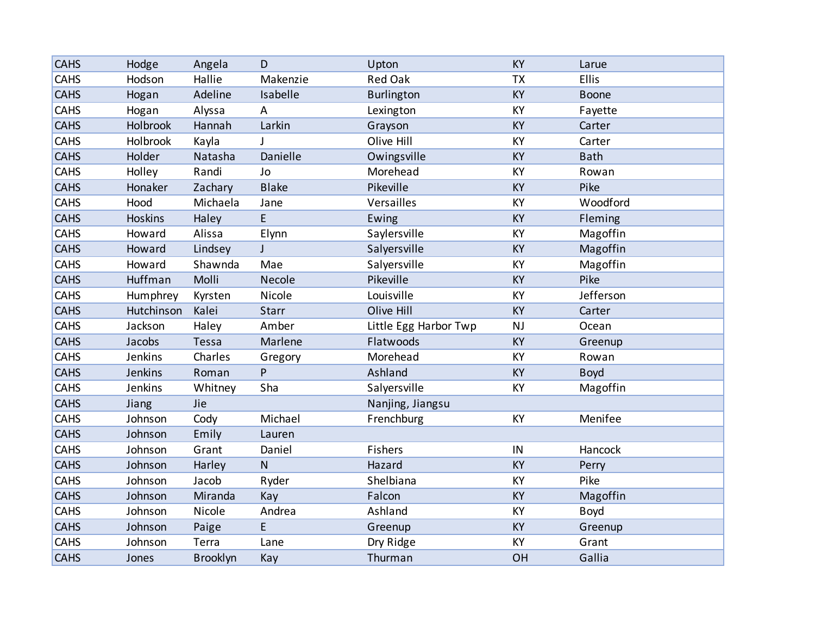| <b>CAHS</b> | Hodge      | Angela          | D            | Upton                 | <b>KY</b> | Larue       |
|-------------|------------|-----------------|--------------|-----------------------|-----------|-------------|
| CAHS        | Hodson     | Hallie          | Makenzie     | <b>Red Oak</b>        | <b>TX</b> | Ellis       |
| <b>CAHS</b> | Hogan      | Adeline         | Isabelle     | <b>Burlington</b>     | KY        | Boone       |
| CAHS        | Hogan      | Alyssa          | А            | Lexington             | KY        | Fayette     |
| <b>CAHS</b> | Holbrook   | Hannah          | Larkin       | Grayson               | KY        | Carter      |
| <b>CAHS</b> | Holbrook   | Kayla           | J            | Olive Hill            | KY        | Carter      |
| <b>CAHS</b> | Holder     | Natasha         | Danielle     | Owingsville           | KY        | <b>Bath</b> |
| <b>CAHS</b> | Holley     | Randi           | Jo           | Morehead              | KY        | Rowan       |
| <b>CAHS</b> | Honaker    | Zachary         | <b>Blake</b> | Pikeville             | KY        | Pike        |
| <b>CAHS</b> | Hood       | Michaela        | Jane         | Versailles            | KY        | Woodford    |
| <b>CAHS</b> | Hoskins    | Haley           | E            | Ewing                 | <b>KY</b> | Fleming     |
| CAHS        | Howard     | Alissa          | Elynn        | Saylersville          | KY        | Magoffin    |
| <b>CAHS</b> | Howard     | Lindsey         | $\mathsf{J}$ | Salyersville          | KY        | Magoffin    |
| <b>CAHS</b> | Howard     | Shawnda         | Mae          | Salyersville          | KY        | Magoffin    |
| <b>CAHS</b> | Huffman    | Molli           | Necole       | Pikeville             | KY        | Pike        |
| CAHS        | Humphrey   | Kyrsten         | Nicole       | Louisville            | KY        | Jefferson   |
| <b>CAHS</b> | Hutchinson | Kalei           | Starr        | Olive Hill            | <b>KY</b> | Carter      |
| CAHS        | Jackson    | Haley           | Amber        | Little Egg Harbor Twp | NJ        | Ocean       |
| <b>CAHS</b> | Jacobs     | Tessa           | Marlene      | Flatwoods             | KY        | Greenup     |
| CAHS        | Jenkins    | Charles         | Gregory      | Morehead              | KY        | Rowan       |
| <b>CAHS</b> | Jenkins    | Roman           | P            | Ashland               | KY        | <b>Boyd</b> |
| CAHS        | Jenkins    | Whitney         | Sha          | Salyersville          | KY        | Magoffin    |
| <b>CAHS</b> | Jiang      | Jie             |              | Nanjing, Jiangsu      |           |             |
| CAHS        | Johnson    | Cody            | Michael      | Frenchburg            | KY        | Menifee     |
| <b>CAHS</b> | Johnson    | Emily           | Lauren       |                       |           |             |
| CAHS        | Johnson    | Grant           | Daniel       | Fishers               | IN        | Hancock     |
| <b>CAHS</b> | Johnson    | Harley          | $\mathsf{N}$ | Hazard                | KY        | Perry       |
| CAHS        | Johnson    | Jacob           | Ryder        | Shelbiana             | KY        | Pike        |
| <b>CAHS</b> | Johnson    | Miranda         | Kay          | Falcon                | <b>KY</b> | Magoffin    |
| CAHS        | Johnson    | Nicole          | Andrea       | Ashland               | KY        | <b>Boyd</b> |
| <b>CAHS</b> | Johnson    | Paige           | E            | Greenup               | <b>KY</b> | Greenup     |
| CAHS        | Johnson    | Terra           | Lane         | Dry Ridge             | KY        | Grant       |
| <b>CAHS</b> | Jones      | <b>Brooklyn</b> | Kay          | Thurman               | OH        | Gallia      |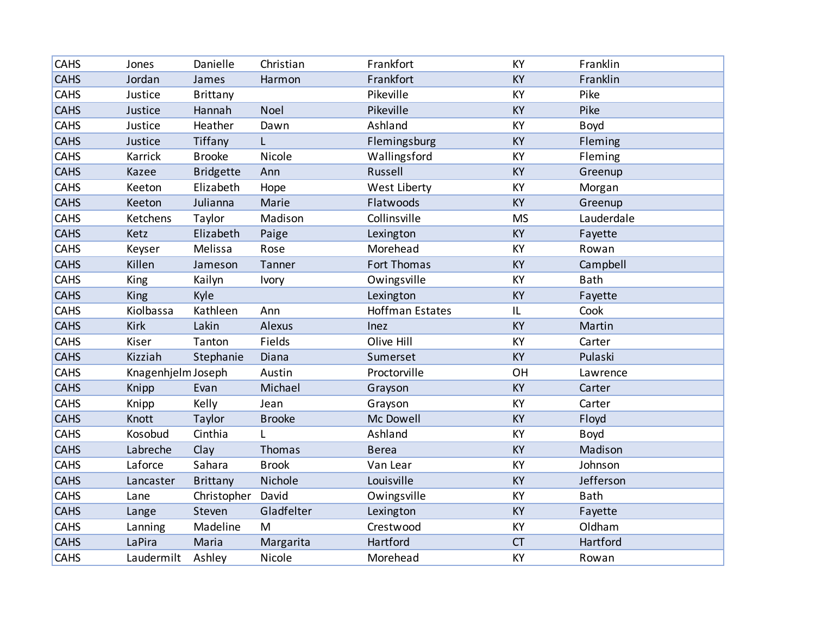| CAHS        | Jones              | Danielle         | Christian     | Frankfort              | KY        | Franklin    |
|-------------|--------------------|------------------|---------------|------------------------|-----------|-------------|
| <b>CAHS</b> | Jordan             | James            | Harmon        | Frankfort              | KY        | Franklin    |
| CAHS        | Justice            | <b>Brittany</b>  |               | Pikeville              | <b>KY</b> | Pike        |
| <b>CAHS</b> | Justice            | Hannah           | Noel          | Pikeville              | <b>KY</b> | Pike        |
| CAHS        | Justice            | Heather          | Dawn          | Ashland                | KY        | Boyd        |
| <b>CAHS</b> | Justice            | Tiffany          | L             | Flemingsburg           | KY        | Fleming     |
| CAHS        | Karrick            | <b>Brooke</b>    | Nicole        | Wallingsford           | KY        | Fleming     |
| <b>CAHS</b> | Kazee              | <b>Bridgette</b> | Ann           | Russell                | <b>KY</b> | Greenup     |
| CAHS        | Keeton             | Elizabeth        | Hope          | West Liberty           | KY        | Morgan      |
| <b>CAHS</b> | Keeton             | Julianna         | Marie         | Flatwoods              | KY        | Greenup     |
| CAHS        | Ketchens           | Taylor           | Madison       | Collinsville           | <b>MS</b> | Lauderdale  |
| <b>CAHS</b> | Ketz               | Elizabeth        | Paige         | Lexington              | KY        | Fayette     |
| CAHS        | Keyser             | Melissa          | Rose          | Morehead               | KY        | Rowan       |
| <b>CAHS</b> | Killen             | Jameson          | Tanner        | Fort Thomas            | KY        | Campbell    |
| <b>CAHS</b> | King               | Kailyn           | Ivory         | Owingsville            | KY        | <b>Bath</b> |
| <b>CAHS</b> | King               | Kyle             |               | Lexington              | <b>KY</b> | Fayette     |
| <b>CAHS</b> | Kiolbassa          | Kathleen         | Ann           | <b>Hoffman Estates</b> | IL        | Cook        |
| <b>CAHS</b> | Kirk               | Lakin            | Alexus        | Inez                   | KY        | Martin      |
| <b>CAHS</b> | Kiser              | Tanton           | Fields        | Olive Hill             | KY        | Carter      |
| <b>CAHS</b> | Kizziah            | Stephanie        | Diana         | Sumerset               | <b>KY</b> | Pulaski     |
| CAHS        | Knagenhjelm Joseph |                  | Austin        | Proctorville           | OH        | Lawrence    |
| <b>CAHS</b> | Knipp              | Evan             | Michael       | Grayson                | KY        | Carter      |
| <b>CAHS</b> | Knipp              | Kelly            | Jean          | Grayson                | KY        | Carter      |
| <b>CAHS</b> | Knott              | Taylor           | <b>Brooke</b> | Mc Dowell              | <b>KY</b> | Floyd       |
| <b>CAHS</b> | Kosobud            | Cinthia          | L             | Ashland                | KY        | Boyd        |
| <b>CAHS</b> | Labreche           | Clay             | Thomas        | <b>Berea</b>           | KY        | Madison     |
| <b>CAHS</b> | Laforce            | Sahara           | <b>Brook</b>  | Van Lear               | KY        | Johnson     |
| <b>CAHS</b> | Lancaster          | Brittany         | Nichole       | Louisville             | <b>KY</b> | Jefferson   |
| <b>CAHS</b> | Lane               | Christopher      | David         | Owingsville            | KY        | <b>Bath</b> |
| <b>CAHS</b> | Lange              | Steven           | Gladfelter    | Lexington              | KY        | Fayette     |
| <b>CAHS</b> | Lanning            | Madeline         | M             | Crestwood              | KY        | Oldham      |
| <b>CAHS</b> | LaPira             | Maria            | Margarita     | Hartford               | CT        | Hartford    |
| CAHS        | Laudermilt         | Ashley           | Nicole        | Morehead               | KY        | Rowan       |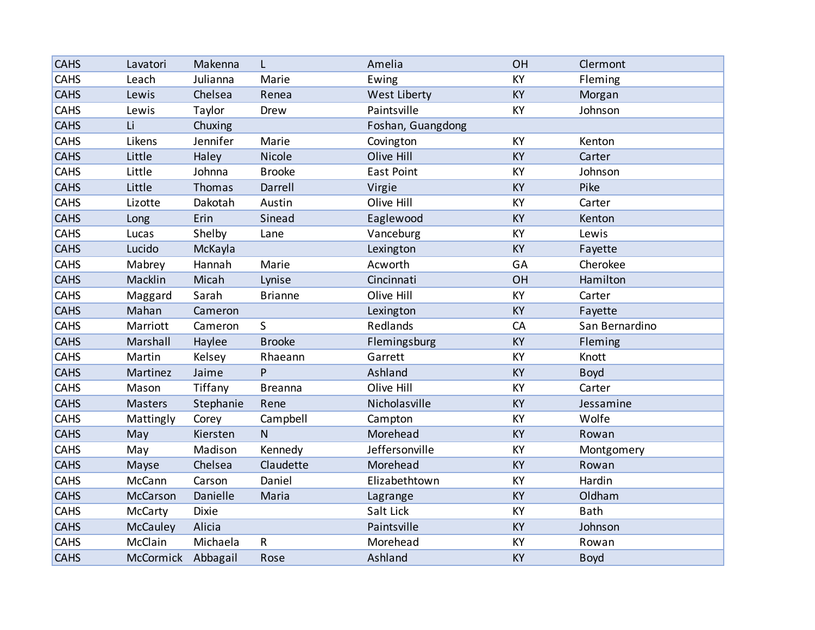| <b>CAHS</b> | Lavatori           | Makenna   | L              | Amelia            | OH        | Clermont       |
|-------------|--------------------|-----------|----------------|-------------------|-----------|----------------|
| CAHS        | Leach              | Julianna  | Marie          | Ewing             | KY        | Fleming        |
| <b>CAHS</b> | Lewis              | Chelsea   | Renea          | West Liberty      | <b>KY</b> | Morgan         |
| <b>CAHS</b> | Lewis              | Taylor    | Drew           | Paintsville       | <b>KY</b> | Johnson        |
| <b>CAHS</b> | Li                 | Chuxing   |                | Foshan, Guangdong |           |                |
| <b>CAHS</b> | Likens             | Jennifer  | Marie          | Covington         | KY        | Kenton         |
| <b>CAHS</b> | Little             | Haley     | Nicole         | Olive Hill        | KY        | Carter         |
| CAHS        | Little             | Johnna    | <b>Brooke</b>  | <b>East Point</b> | KY        | Johnson        |
| <b>CAHS</b> | Little             | Thomas    | Darrell        | Virgie            | KY        | Pike           |
| <b>CAHS</b> | Lizotte            | Dakotah   | Austin         | Olive Hill        | KY        | Carter         |
| <b>CAHS</b> | Long               | Erin      | Sinead         | Eaglewood         | KY        | Kenton         |
| <b>CAHS</b> | Lucas              | Shelby    | Lane           | Vanceburg         | KY        | Lewis          |
| <b>CAHS</b> | Lucido             | McKayla   |                | Lexington         | <b>KY</b> | Fayette        |
| <b>CAHS</b> | Mabrey             | Hannah    | Marie          | Acworth           | GA        | Cherokee       |
| <b>CAHS</b> | Macklin            | Micah     | Lynise         | Cincinnati        | OH        | Hamilton       |
| CAHS        | Maggard            | Sarah     | <b>Brianne</b> | Olive Hill        | KY        | Carter         |
| <b>CAHS</b> | Mahan              | Cameron   |                | Lexington         | <b>KY</b> | Fayette        |
| <b>CAHS</b> | Marriott           | Cameron   | S              | Redlands          | CA        | San Bernardino |
| <b>CAHS</b> | Marshall           | Haylee    | <b>Brooke</b>  | Flemingsburg      | KY        | Fleming        |
| CAHS        | Martin             | Kelsey    | Rhaeann        | Garrett           | KY        | Knott          |
| <b>CAHS</b> | Martinez           | Jaime     | P              | Ashland           | <b>KY</b> | <b>Boyd</b>    |
| CAHS        | Mason              | Tiffany   | <b>Breanna</b> | Olive Hill        | KY        | Carter         |
| <b>CAHS</b> | <b>Masters</b>     | Stephanie | Rene           | Nicholasville     | KY        | Jessamine      |
| <b>CAHS</b> | Mattingly          | Corey     | Campbell       | Campton           | KY        | Wolfe          |
| <b>CAHS</b> | May                | Kiersten  | $\mathsf{N}$   | Morehead          | <b>KY</b> | Rowan          |
| <b>CAHS</b> | May                | Madison   | Kennedy        | Jeffersonville    | KY        | Montgomery     |
| <b>CAHS</b> | Mayse              | Chelsea   | Claudette      | Morehead          | <b>KY</b> | Rowan          |
| <b>CAHS</b> | McCann             | Carson    | Daniel         | Elizabethtown     | KY        | Hardin         |
| <b>CAHS</b> | <b>McCarson</b>    | Danielle  | Maria          | Lagrange          | <b>KY</b> | Oldham         |
| CAHS        | McCarty            | Dixie     |                | Salt Lick         | KY        | <b>Bath</b>    |
| <b>CAHS</b> | <b>McCauley</b>    | Alicia    |                | Paintsville       | <b>KY</b> | Johnson        |
| <b>CAHS</b> | McClain            | Michaela  | R              | Morehead          | KY        | Rowan          |
| <b>CAHS</b> | McCormick Abbagail |           | Rose           | Ashland           | KY        | <b>Boyd</b>    |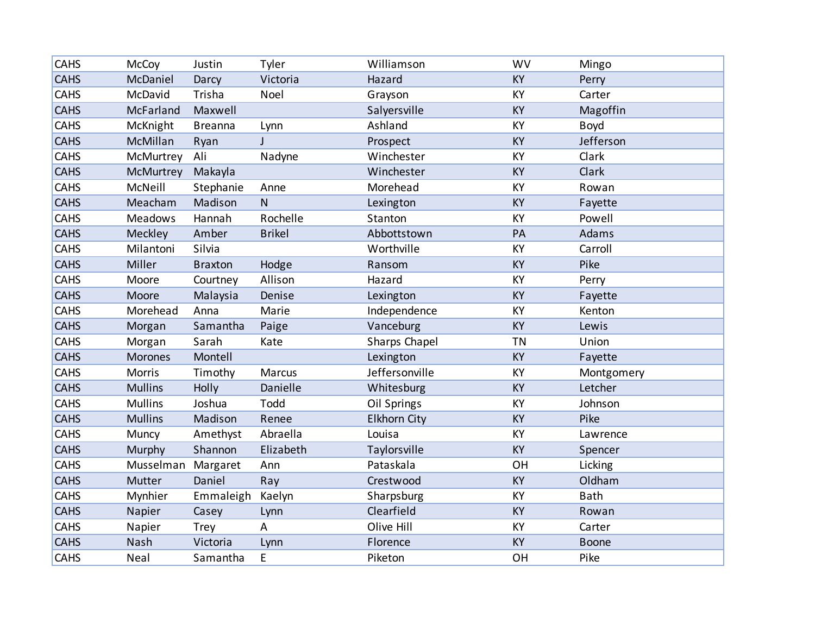| <b>CAHS</b> | McCoy          | Justin         | Tyler         | Williamson          | <b>WV</b> | Mingo       |
|-------------|----------------|----------------|---------------|---------------------|-----------|-------------|
| <b>CAHS</b> | McDaniel       | Darcy          | Victoria      | Hazard              | <b>KY</b> | Perry       |
| <b>CAHS</b> | McDavid        | Trisha         | Noel          | Grayson             | KY        | Carter      |
| <b>CAHS</b> | McFarland      | Maxwell        |               | Salyersville        | KY        | Magoffin    |
| CAHS        | McKnight       | <b>Breanna</b> | Lynn          | Ashland             | KY        | <b>Boyd</b> |
| <b>CAHS</b> | McMillan       | Ryan           | $\mathbf{I}$  | Prospect            | KY        | Jefferson   |
| CAHS        | McMurtrey      | Ali            | Nadyne        | Winchester          | KY        | Clark       |
| <b>CAHS</b> | McMurtrey      | Makayla        |               | Winchester          | KY        | Clark       |
| CAHS        | McNeill        | Stephanie      | Anne          | Morehead            | KY        | Rowan       |
| <b>CAHS</b> | Meacham        | Madison        | $\mathsf{N}$  | Lexington           | <b>KY</b> | Fayette     |
| CAHS        | <b>Meadows</b> | Hannah         | Rochelle      | Stanton             | KY        | Powell      |
| <b>CAHS</b> | Meckley        | Amber          | <b>Brikel</b> | Abbottstown         | PA        | Adams       |
| <b>CAHS</b> | Milantoni      | Silvia         |               | Worthville          | KY        | Carroll     |
| <b>CAHS</b> | Miller         | <b>Braxton</b> | Hodge         | Ransom              | <b>KY</b> | Pike        |
| CAHS        | Moore          | Courtney       | Allison       | Hazard              | KY        | Perry       |
| <b>CAHS</b> | Moore          | Malaysia       | Denise        | Lexington           | KY        | Fayette     |
| <b>CAHS</b> | Morehead       | Anna           | Marie         | Independence        | KY        | Kenton      |
| <b>CAHS</b> | Morgan         | Samantha       | Paige         | Vanceburg           | KY        | Lewis       |
| CAHS        | Morgan         | Sarah          | Kate          | Sharps Chapel       | <b>TN</b> | Union       |
| <b>CAHS</b> | <b>Morones</b> | Montell        |               | Lexington           | KY        | Fayette     |
| <b>CAHS</b> | Morris         | Timothy        | Marcus        | Jeffersonville      | KY        | Montgomery  |
| <b>CAHS</b> | <b>Mullins</b> | Holly          | Danielle      | Whitesburg          | <b>KY</b> | Letcher     |
| <b>CAHS</b> | <b>Mullins</b> | Joshua         | Todd          | Oil Springs         | KY        | Johnson     |
| <b>CAHS</b> | <b>Mullins</b> | Madison        | Renee         | <b>Elkhorn City</b> | <b>KY</b> | Pike        |
| <b>CAHS</b> | Muncy          | Amethyst       | Abraella      | Louisa              | KY        | Lawrence    |
| <b>CAHS</b> | Murphy         | Shannon        | Elizabeth     | Taylorsville        | KY        | Spencer     |
| <b>CAHS</b> | Musselman      | Margaret       | Ann           | Pataskala           | OH        | Licking     |
| <b>CAHS</b> | Mutter         | Daniel         | Ray           | Crestwood           | <b>KY</b> | Oldham      |
| <b>CAHS</b> | Mynhier        | Emmaleigh      | Kaelyn        | Sharpsburg          | KY        | Bath        |
| <b>CAHS</b> | Napier         | Casey          | Lynn          | Clearfield          | KY        | Rowan       |
| <b>CAHS</b> | Napier         | <b>Trey</b>    | Α             | Olive Hill          | KY        | Carter      |
| <b>CAHS</b> | Nash           | Victoria       | Lynn          | Florence            | KY        | Boone       |
| CAHS        | Neal           | Samantha       | E             | Piketon             | OH        | Pike        |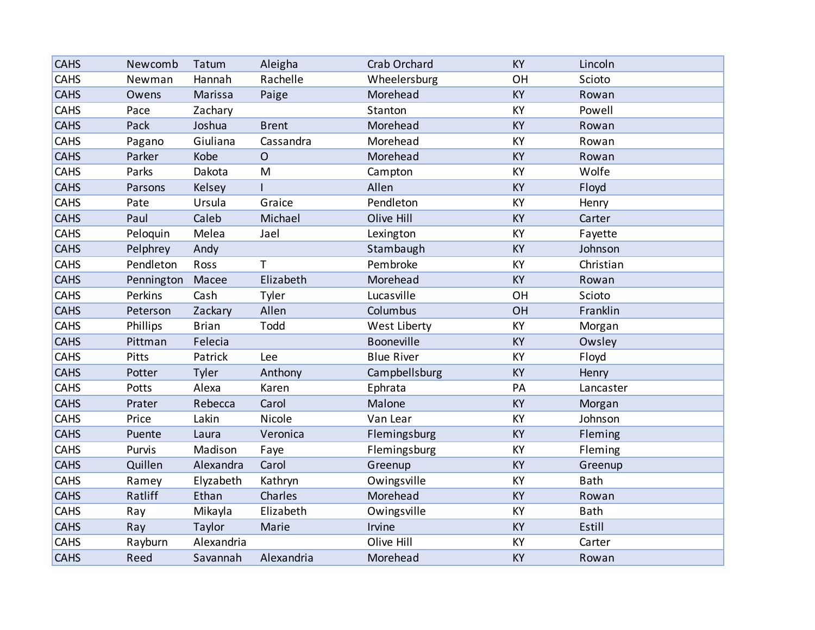| <b>CAHS</b> | Newcomb    | Tatum        | Aleigha      | Crab Orchard      | <b>KY</b> | Lincoln     |
|-------------|------------|--------------|--------------|-------------------|-----------|-------------|
| CAHS        | Newman     | Hannah       | Rachelle     | Wheelersburg      | OH        | Scioto      |
| <b>CAHS</b> | Owens      | Marissa      | Paige        | Morehead          | KY        | Rowan       |
| CAHS        | Pace       | Zachary      |              | Stanton           | KY        | Powell      |
| <b>CAHS</b> | Pack       | Joshua       | <b>Brent</b> | Morehead          | KY        | Rowan       |
| <b>CAHS</b> | Pagano     | Giuliana     | Cassandra    | Morehead          | KY        | Rowan       |
| <b>CAHS</b> | Parker     | Kobe         | $\mathsf{O}$ | Morehead          | KY        | Rowan       |
| <b>CAHS</b> | Parks      | Dakota       | M            | Campton           | KY        | Wolfe       |
| <b>CAHS</b> | Parsons    | Kelsey       |              | Allen             | KY        | Floyd       |
| <b>CAHS</b> | Pate       | Ursula       | Graice       | Pendleton         | KY        | Henry       |
| <b>CAHS</b> | Paul       | Caleb        | Michael      | Olive Hill        | <b>KY</b> | Carter      |
| CAHS        | Peloquin   | Melea        | Jael         | Lexington         | KY        | Fayette     |
| <b>CAHS</b> | Pelphrey   | Andy         |              | Stambaugh         | KY        | Johnson     |
| <b>CAHS</b> | Pendleton  | Ross         | T            | Pembroke          | KY        | Christian   |
| <b>CAHS</b> | Pennington | Macee        | Elizabeth    | Morehead          | KY        | Rowan       |
| CAHS        | Perkins    | Cash         | Tyler        | Lucasville        | OH        | Scioto      |
| <b>CAHS</b> | Peterson   | Zackary      | Allen        | Columbus          | OH        | Franklin    |
| <b>CAHS</b> | Phillips   | <b>Brian</b> | Todd         | West Liberty      | KY        | Morgan      |
| <b>CAHS</b> | Pittman    | Felecia      |              | Booneville        | KY        | Owsley      |
| CAHS        | Pitts      | Patrick      | Lee          | <b>Blue River</b> | KY        | Floyd       |
| <b>CAHS</b> | Potter     | Tyler        | Anthony      | Campbellsburg     | KY        | Henry       |
| CAHS        | Potts      | Alexa        | Karen        | Ephrata           | PA        | Lancaster   |
| <b>CAHS</b> | Prater     | Rebecca      | Carol        | Malone            | KY        | Morgan      |
| CAHS        | Price      | Lakin        | Nicole       | Van Lear          | KY        | Johnson     |
| <b>CAHS</b> | Puente     | Laura        | Veronica     | Flemingsburg      | KY        | Fleming     |
| CAHS        | Purvis     | Madison      | Faye         | Flemingsburg      | KY        | Fleming     |
| <b>CAHS</b> | Quillen    | Alexandra    | Carol        | Greenup           | KY        | Greenup     |
| CAHS        | Ramey      | Elyzabeth    | Kathryn      | Owingsville       | KY        | <b>Bath</b> |
| <b>CAHS</b> | Ratliff    | Ethan        | Charles      | Morehead          | <b>KY</b> | Rowan       |
| CAHS        | Ray        | Mikayla      | Elizabeth    | Owingsville       | KY        | Bath        |
| <b>CAHS</b> | Ray        | Taylor       | Marie        | Irvine            | <b>KY</b> | Estill      |
| CAHS        | Rayburn    | Alexandria   |              | Olive Hill        | KY        | Carter      |
| <b>CAHS</b> | Reed       | Savannah     | Alexandria   | Morehead          | KY        | Rowan       |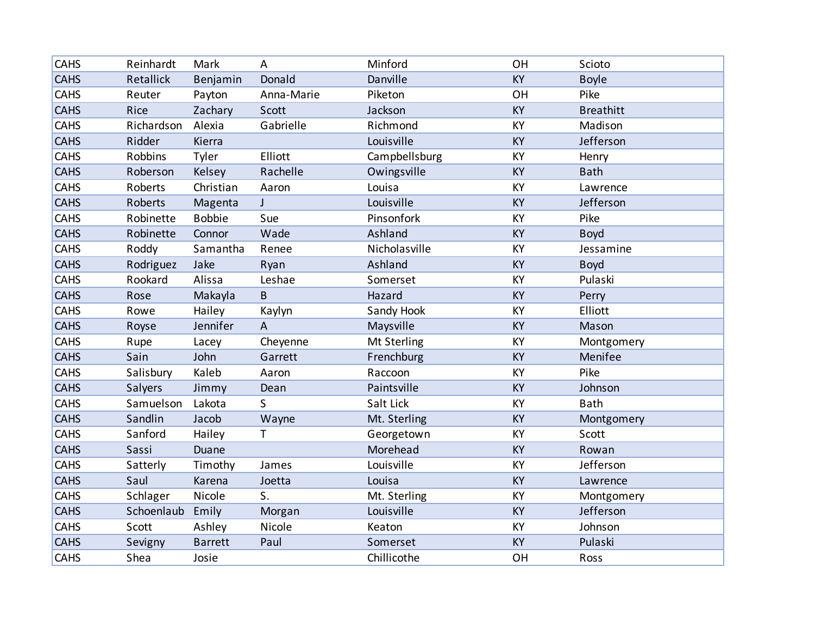| <b>CAHS</b> | Reinhardt      | Mark           | A              | Minford       | OH        | Scioto           |
|-------------|----------------|----------------|----------------|---------------|-----------|------------------|
| <b>CAHS</b> | Retallick      | Benjamin       | Donald         | Danville      | <b>KY</b> | <b>Boyle</b>     |
| <b>CAHS</b> | Reuter         | Payton         | Anna-Marie     | Piketon       | OH        | Pike             |
| <b>CAHS</b> | Rice           | Zachary        | Scott          | Jackson       | KY        | <b>Breathitt</b> |
| <b>CAHS</b> | Richardson     | Alexia         | Gabrielle      | Richmond      | KY        | Madison          |
| <b>CAHS</b> | Ridder         | Kierra         |                | Louisville    | KY        | Jefferson        |
| <b>CAHS</b> | <b>Robbins</b> | Tyler          | Elliott        | Campbellsburg | KY        | Henry            |
| <b>CAHS</b> | Roberson       | Kelsey         | Rachelle       | Owingsville   | KY        | <b>Bath</b>      |
| CAHS        | Roberts        | Christian      | Aaron          | Louisa        | KY        | Lawrence         |
| <b>CAHS</b> | Roberts        | Magenta        | $\mathsf{J}$   | Louisville    | KY        | Jefferson        |
| <b>CAHS</b> | Robinette      | <b>Bobbie</b>  | Sue            | Pinsonfork    | KY        | Pike             |
| <b>CAHS</b> | Robinette      | Connor         | Wade           | Ashland       | KY        | <b>Boyd</b>      |
| <b>CAHS</b> | Roddy          | Samantha       | Renee          | Nicholasville | KY        | Jessamine        |
| <b>CAHS</b> | Rodriguez      | Jake           | Ryan           | Ashland       | KY        | <b>Boyd</b>      |
| <b>CAHS</b> | Rookard        | Alissa         | Leshae         | Somerset      | KY        | Pulaski          |
| <b>CAHS</b> | Rose           | Makayla        | B              | Hazard        | <b>KY</b> | Perry            |
| CAHS        | Rowe           | Hailey         | Kaylyn         | Sandy Hook    | KY        | Elliott          |
| <b>CAHS</b> | Royse          | Jennifer       | $\overline{A}$ | Maysville     | KY        | Mason            |
| <b>CAHS</b> | Rupe           | Lacey          | Cheyenne       | Mt Sterling   | KY        | Montgomery       |
| <b>CAHS</b> | Sain           | John           | Garrett        | Frenchburg    | <b>KY</b> | Menifee          |
| <b>CAHS</b> | Salisbury      | Kaleb          | Aaron          | Raccoon       | KY        | Pike             |
| <b>CAHS</b> | Salyers        | Jimmy          | Dean           | Paintsville   | <b>KY</b> | Johnson          |
| <b>CAHS</b> | Samuelson      | Lakota         | S              | Salt Lick     | KY        | <b>Bath</b>      |
| <b>CAHS</b> | Sandlin        | Jacob          | Wayne          | Mt. Sterling  | <b>KY</b> | Montgomery       |
| CAHS        | Sanford        | Hailey         | T              | Georgetown    | KY        | Scott            |
| <b>CAHS</b> | Sassi          | Duane          |                | Morehead      | KY        | Rowan            |
| <b>CAHS</b> | Satterly       | Timothy        | James          | Louisville    | KY        | Jefferson        |
| <b>CAHS</b> | Saul           | Karena         | Joetta         | Louisa        | <b>KY</b> | Lawrence         |
| CAHS        | Schlager       | Nicole         | S.             | Mt. Sterling  | KY        | Montgomery       |
| <b>CAHS</b> | Schoenlaub     | Emily          | Morgan         | Louisville    | <b>KY</b> | Jefferson        |
| <b>CAHS</b> | Scott          | Ashley         | Nicole         | Keaton        | KY        | Johnson          |
| <b>CAHS</b> | Sevigny        | <b>Barrett</b> | Paul           | Somerset      | <b>KY</b> | Pulaski          |
| CAHS        | Shea           | Josie          |                | Chillicothe   | OH        | Ross             |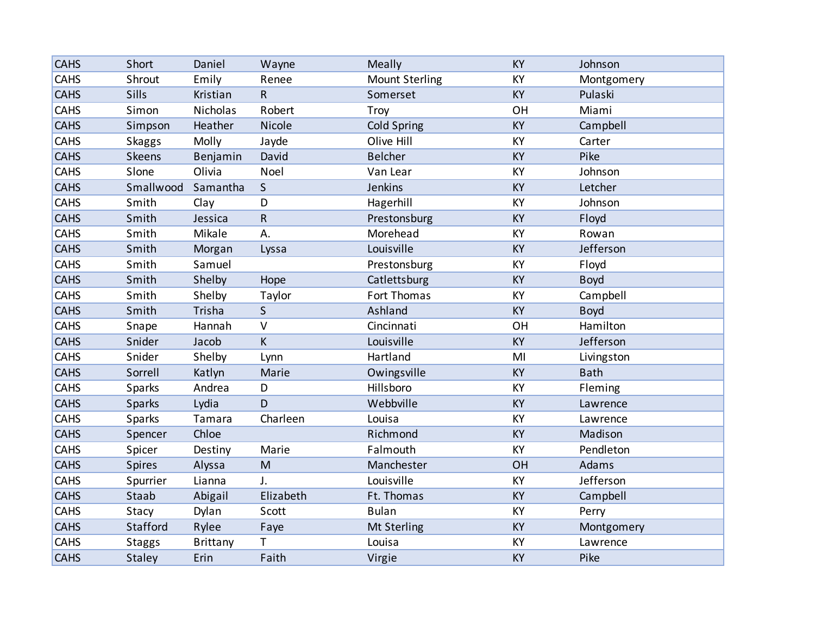| <b>CAHS</b> | Short         | Daniel          | Wayne                   | Meally                | <b>KY</b> | Johnson     |
|-------------|---------------|-----------------|-------------------------|-----------------------|-----------|-------------|
| CAHS        | Shrout        | Emily           | Renee                   | <b>Mount Sterling</b> | KY        | Montgomery  |
| <b>CAHS</b> | Sills         | Kristian        | $\overline{\mathsf{R}}$ | Somerset              | KY        | Pulaski     |
| CAHS        | Simon         | Nicholas        | Robert                  | Troy                  | OH        | Miami       |
| <b>CAHS</b> | Simpson       | Heather         | Nicole                  | <b>Cold Spring</b>    | KY        | Campbell    |
| <b>CAHS</b> | <b>Skaggs</b> | Molly           | Jayde                   | Olive Hill            | KY        | Carter      |
| <b>CAHS</b> | Skeens        | Benjamin        | David                   | <b>Belcher</b>        | KY        | Pike        |
| <b>CAHS</b> | Slone         | Olivia          | Noel                    | Van Lear              | KY        | Johnson     |
| <b>CAHS</b> | Smallwood     | Samantha        | $\mathsf{S}$            | Jenkins               | KY        | Letcher     |
| <b>CAHS</b> | Smith         | Clay            | D                       | Hagerhill             | KY        | Johnson     |
| <b>CAHS</b> | Smith         | Jessica         | ${\sf R}$               | Prestonsburg          | <b>KY</b> | Floyd       |
| CAHS        | Smith         | Mikale          | А.                      | Morehead              | KY        | Rowan       |
| <b>CAHS</b> | Smith         | Morgan          | Lyssa                   | Louisville            | KY        | Jefferson   |
| <b>CAHS</b> | Smith         | Samuel          |                         | Prestonsburg          | KY        | Floyd       |
| <b>CAHS</b> | Smith         | Shelby          | Hope                    | Catlettsburg          | <b>KY</b> | <b>Boyd</b> |
| CAHS        | Smith         | Shelby          | Taylor                  | Fort Thomas           | KY        | Campbell    |
| <b>CAHS</b> | Smith         | Trisha          | $\mathsf{S}$            | Ashland               | <b>KY</b> | <b>Boyd</b> |
| <b>CAHS</b> | Snape         | Hannah          | $\vee$                  | Cincinnati            | OH        | Hamilton    |
| <b>CAHS</b> | Snider        | Jacob           | K                       | Louisville            | KY        | Jefferson   |
| CAHS        | Snider        | Shelby          | Lynn                    | Hartland              | MI        | Livingston  |
| <b>CAHS</b> | Sorrell       | Katlyn          | Marie                   | Owingsville           | KY        | <b>Bath</b> |
| CAHS        | Sparks        | Andrea          | D                       | Hillsboro             | KY        | Fleming     |
| <b>CAHS</b> | <b>Sparks</b> | Lydia           | D                       | Webbville             | KY        | Lawrence    |
| CAHS        | Sparks        | Tamara          | Charleen                | Louisa                | KY        | Lawrence    |
| <b>CAHS</b> | Spencer       | Chloe           |                         | Richmond              | KY        | Madison     |
| CAHS        | Spicer        | Destiny         | Marie                   | Falmouth              | KY        | Pendleton   |
| <b>CAHS</b> | <b>Spires</b> | Alyssa          | M                       | Manchester            | OH        | Adams       |
| CAHS        | Spurrier      | Lianna          | J.                      | Louisville            | KY        | Jefferson   |
| <b>CAHS</b> | Staab         | Abigail         | Elizabeth               | Ft. Thomas            | <b>KY</b> | Campbell    |
| CAHS        | Stacy         | Dylan           | Scott                   | <b>Bulan</b>          | KY        | Perry       |
| <b>CAHS</b> | Stafford      | Rylee           | Faye                    | Mt Sterling           | <b>KY</b> | Montgomery  |
| <b>CAHS</b> | <b>Staggs</b> | <b>Brittany</b> | T                       | Louisa                | KY        | Lawrence    |
| <b>CAHS</b> | <b>Staley</b> | Erin            | Faith                   | Virgie                | KY        | Pike        |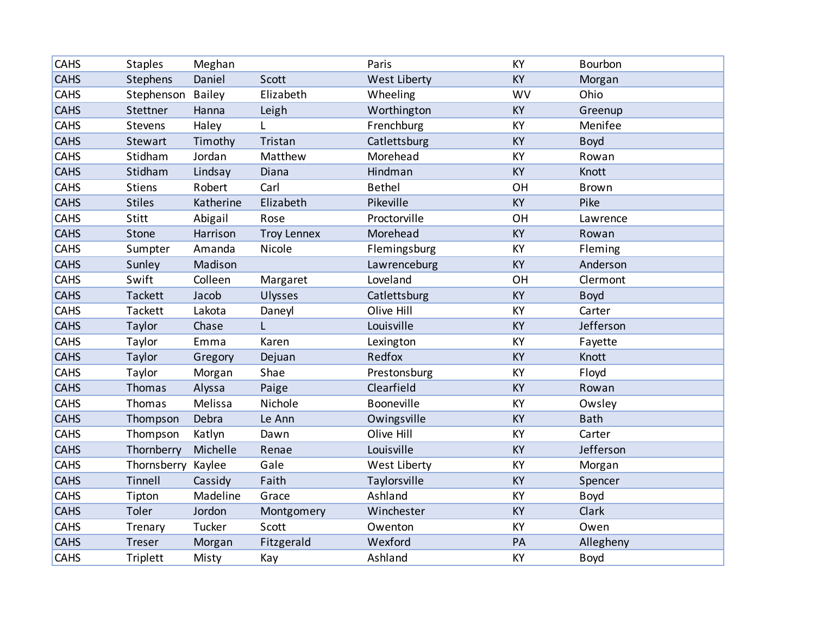| <b>CAHS</b> | <b>Staples</b>  | Meghan        |                    | Paris         | KY        | Bourbon      |
|-------------|-----------------|---------------|--------------------|---------------|-----------|--------------|
| <b>CAHS</b> | <b>Stephens</b> | Daniel        | Scott              | West Liberty  | <b>KY</b> | Morgan       |
| <b>CAHS</b> | Stephenson      | <b>Bailey</b> | Elizabeth          | Wheeling      | <b>WV</b> | Ohio         |
| <b>CAHS</b> | Stettner        | Hanna         | Leigh              | Worthington   | <b>KY</b> | Greenup      |
| CAHS        | Stevens         | Haley         | L                  | Frenchburg    | KY        | Menifee      |
| <b>CAHS</b> | Stewart         | Timothy       | Tristan            | Catlettsburg  | KY        | <b>Boyd</b>  |
| <b>CAHS</b> | Stidham         | Jordan        | Matthew            | Morehead      | KY        | Rowan        |
| <b>CAHS</b> | Stidham         | Lindsay       | Diana              | Hindman       | <b>KY</b> | Knott        |
| CAHS        | <b>Stiens</b>   | Robert        | Carl               | <b>Bethel</b> | OH        | <b>Brown</b> |
| <b>CAHS</b> | <b>Stiles</b>   | Katherine     | Elizabeth          | Pikeville     | KY        | Pike         |
| CAHS        | Stitt           | Abigail       | Rose               | Proctorville  | OH        | Lawrence     |
| <b>CAHS</b> | Stone           | Harrison      | <b>Troy Lennex</b> | Morehead      | <b>KY</b> | Rowan        |
| <b>CAHS</b> | Sumpter         | Amanda        | Nicole             | Flemingsburg  | KY        | Fleming      |
| <b>CAHS</b> | Sunley          | Madison       |                    | Lawrenceburg  | KY        | Anderson     |
| CAHS        | Swift           | Colleen       | Margaret           | Loveland      | OH        | Clermont     |
| <b>CAHS</b> | Tackett         | Jacob         | <b>Ulysses</b>     | Catlettsburg  | <b>KY</b> | <b>Boyd</b>  |
| CAHS        | Tackett         | Lakota        | Daneyl             | Olive Hill    | KY        | Carter       |
| <b>CAHS</b> | Taylor          | Chase         | L                  | Louisville    | KY        | Jefferson    |
| <b>CAHS</b> | Taylor          | Emma          | Karen              | Lexington     | KY        | Fayette      |
| <b>CAHS</b> | Taylor          | Gregory       | Dejuan             | Redfox        | <b>KY</b> | Knott        |
| CAHS        | Taylor          | Morgan        | Shae               | Prestonsburg  | KY        | Floyd        |
| <b>CAHS</b> | Thomas          | Alyssa        | Paige              | Clearfield    | <b>KY</b> | Rowan        |
| CAHS        | Thomas          | Melissa       | Nichole            | Booneville    | KY        | Owsley       |
| <b>CAHS</b> | Thompson        | Debra         | Le Ann             | Owingsville   | <b>KY</b> | <b>Bath</b>  |
| CAHS        | Thompson        | Katlyn        | Dawn               | Olive Hill    | KY        | Carter       |
| <b>CAHS</b> | Thornberry      | Michelle      | Renae              | Louisville    | KY        | Jefferson    |
| CAHS        | Thornsberry     | Kaylee        | Gale               | West Liberty  | KY        | Morgan       |
| <b>CAHS</b> | Tinnell         | Cassidy       | Faith              | Taylorsville  | <b>KY</b> | Spencer      |
| CAHS        | Tipton          | Madeline      | Grace              | Ashland       | KY        | Boyd         |
| <b>CAHS</b> | Toler           | Jordon        | Montgomery         | Winchester    | <b>KY</b> | Clark        |
| CAHS        | Trenary         | Tucker        | Scott              | Owenton       | KY        | Owen         |
| <b>CAHS</b> | Treser          | Morgan        | Fitzgerald         | Wexford       | PA        | Allegheny    |
| CAHS        | <b>Triplett</b> | Misty         | Kay                | Ashland       | KY        | Boyd         |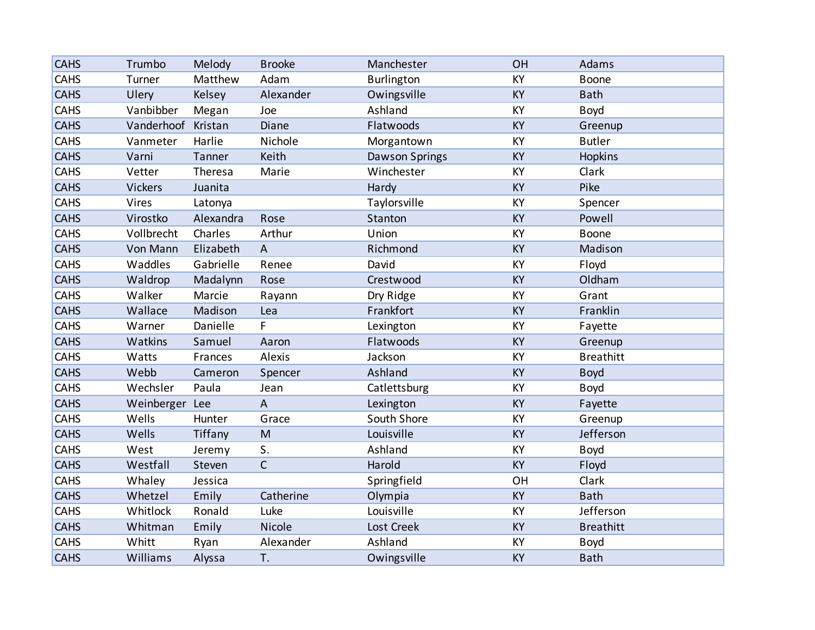| <b>CAHS</b> | Trumbo         | Melody    | <b>Brooke</b>             | Manchester        | OH        | Adams            |
|-------------|----------------|-----------|---------------------------|-------------------|-----------|------------------|
| CAHS        | Turner         | Matthew   | Adam                      | <b>Burlington</b> | KY        | Boone            |
| <b>CAHS</b> | Ulery          | Kelsey    | Alexander                 | Owingsville       | <b>KY</b> | <b>Bath</b>      |
| CAHS        | Vanbibber      | Megan     | Joe                       | Ashland           | KY        | Boyd             |
| <b>CAHS</b> | Vanderhoof     | Kristan   | Diane                     | Flatwoods         | KY        | Greenup          |
| <b>CAHS</b> | Vanmeter       | Harlie    | Nichole                   | Morgantown        | KY        | <b>Butler</b>    |
| <b>CAHS</b> | Varni          | Tanner    | Keith                     | Dawson Springs    | KY        | Hopkins          |
| <b>CAHS</b> | Vetter         | Theresa   | Marie                     | Winchester        | KY        | Clark            |
| <b>CAHS</b> | <b>Vickers</b> | Juanita   |                           | Hardy             | KY        | Pike             |
| <b>CAHS</b> | Vires          | Latonya   |                           | Taylorsville      | KY        | Spencer          |
| <b>CAHS</b> | Virostko       | Alexandra | Rose                      | Stanton           | <b>KY</b> | Powell           |
| CAHS        | Vollbrecht     | Charles   | Arthur                    | Union             | KY        | <b>Boone</b>     |
| <b>CAHS</b> | Von Mann       | Elizabeth | $\overline{A}$            | Richmond          | KY        | Madison          |
| <b>CAHS</b> | Waddles        | Gabrielle | Renee                     | David             | KY        | Floyd            |
| <b>CAHS</b> | Waldrop        | Madalynn  | Rose                      | Crestwood         | KY        | Oldham           |
| CAHS        | Walker         | Marcie    | Rayann                    | Dry Ridge         | KY        | Grant            |
| <b>CAHS</b> | Wallace        | Madison   | Lea                       | Frankfort         | <b>KY</b> | Franklin         |
| <b>CAHS</b> | Warner         | Danielle  | F                         | Lexington         | KY        | Fayette          |
| <b>CAHS</b> | Watkins        | Samuel    | Aaron                     | Flatwoods         | KY        | Greenup          |
| CAHS        | Watts          | Frances   | Alexis                    | Jackson           | KY        | <b>Breathitt</b> |
| <b>CAHS</b> | Webb           | Cameron   | Spencer                   | Ashland           | KY        | <b>Boyd</b>      |
| CAHS        | Wechsler       | Paula     | Jean                      | Catlettsburg      | KY        | Boyd             |
| <b>CAHS</b> | Weinberger Lee |           | $\boldsymbol{\mathsf{A}}$ | Lexington         | KY        | Fayette          |
| CAHS        | Wells          | Hunter    | Grace                     | South Shore       | KY        | Greenup          |
| <b>CAHS</b> | Wells          | Tiffany   | M                         | Louisville        | KY        | Jefferson        |
| CAHS        | West           | Jeremy    | S.                        | Ashland           | KY        | Boyd             |
| <b>CAHS</b> | Westfall       | Steven    | $\mathsf{C}$              | Harold            | KY        | Floyd            |
| CAHS        | Whaley         | Jessica   |                           | Springfield       | OH        | Clark            |
| <b>CAHS</b> | Whetzel        | Emily     | Catherine                 | Olympia           | KY        | <b>Bath</b>      |
| CAHS        | Whitlock       | Ronald    | Luke                      | Louisville        | KY        | Jefferson        |
| <b>CAHS</b> | Whitman        | Emily     | Nicole                    | Lost Creek        | <b>KY</b> | <b>Breathitt</b> |
| <b>CAHS</b> | Whitt          | Ryan      | Alexander                 | Ashland           | KY        | <b>Boyd</b>      |
| <b>CAHS</b> | Williams       | Alyssa    | T.                        | Owingsville       | KY        | <b>Bath</b>      |